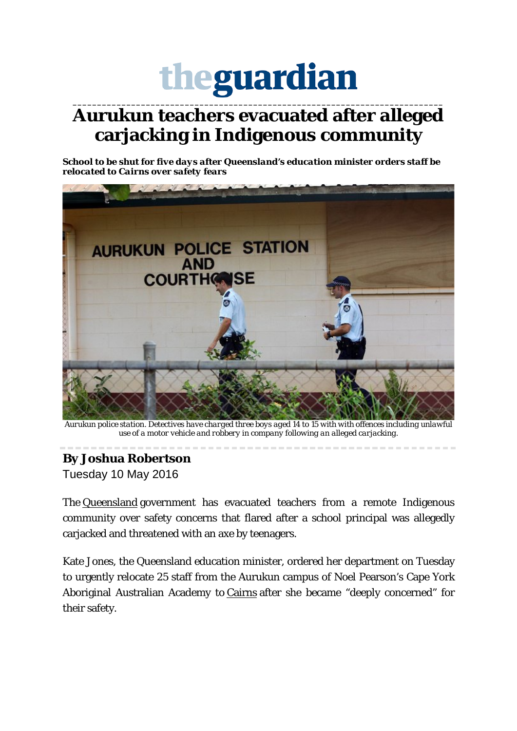## theguardian

## **\_\_\_\_\_\_\_\_\_\_\_\_\_\_\_\_\_\_\_\_\_\_\_\_\_\_\_\_\_\_\_\_\_\_\_\_\_\_\_\_\_\_\_\_\_\_\_\_\_\_\_\_\_\_\_\_\_\_\_\_\_\_\_\_\_\_\_\_\_\_\_\_\_\_\_\_ Aurukun teachers evacuated after alleged carjacking in Indigenous community**

*School to be shut for five days after Queensland's education minister orders staff be relocated to Cairns over safety fears*



*Aurukun police station. Detectives have charged three boys aged 14 to 15 with with offences including unlawful use of a motor vehicle and robbery in company following an alleged carjacking.*

## **By Joshua Robertson**

Tuesday 10 May 2016

The [Queensland](http://www.theguardian.com/australia-news/queensland) government has evacuated teachers from a remote Indigenous community over safety concerns that flared after a school principal was allegedly carjacked and threatened with an axe by teenagers.

Kate Jones, the Queensland education minister, ordered her department on Tuesday to urgently relocate 25 staff from the Aurukun campus of Noel Pearson's Cape York Aboriginal Australian Academy to [Cairns](http://www.theguardian.com/australia-news/cairns) after she became "deeply concerned" for their safety.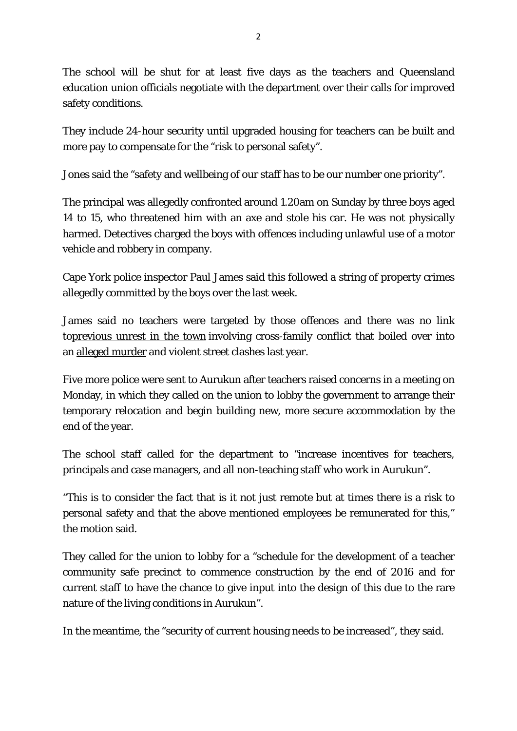The school will be shut for at least five days as the teachers and Queensland education union officials negotiate with the department over their calls for improved safety conditions.

They include 24-hour security until upgraded housing for teachers can be built and more pay to compensate for the "risk to personal safety".

Jones said the "safety and wellbeing of our staff has to be our number one priority".

The principal was allegedly confronted around 1.20am on Sunday by three boys aged 14 to 15, who threatened him with an axe and stole his car. He was not physically harmed. Detectives charged the boys with offences including unlawful use of a motor vehicle and robbery in company.

Cape York police inspector Paul James said this followed a string of property crimes allegedly committed by the boys over the last week.

James said no teachers were targeted by those offences and there was no link t[oprevious unrest in the town](http://www.theguardian.com/australia-news/2015/nov/30/aurukun-residents-fear-going-home-after-family-feud-spills-over-into-violence) involving cross-family conflict that boiled over into an [alleged murder](http://www.theguardian.com/australia-news/2015/nov/24/queensland-town-aurukun-tense-violence-murder-charge) and violent street clashes last year.

Five more police were sent to Aurukun after teachers raised concerns in a meeting on Monday, in which they called on the union to lobby the government to arrange their temporary relocation and begin building new, more secure accommodation by the end of the year.

The school staff called for the department to "increase incentives for teachers, principals and case managers, and all non-teaching staff who work in Aurukun".

"This is to consider the fact that is it not just remote but at times there is a risk to personal safety and that the above mentioned employees be remunerated for this," the motion said.

They called for the union to lobby for a "schedule for the development of a teacher community safe precinct to commence construction by the end of 2016 and for current staff to have the chance to give input into the design of this due to the rare nature of the living conditions in Aurukun".

In the meantime, the "security of current housing needs to be increased", they said.